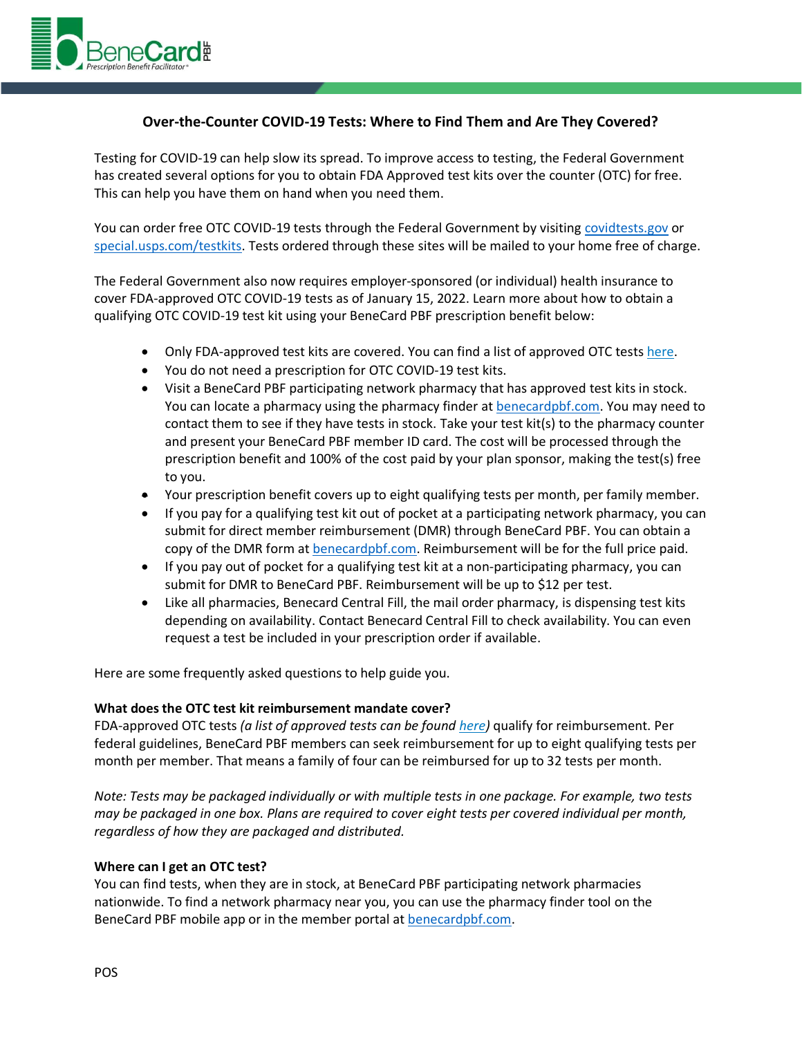

# **Over-the-Counter COVID-19 Tests: Where to Find Them and Are They Covered?**

Testing for COVID-19 can help slow its spread. To improve access to testing, the Federal Government has created several options for you to obtain FDA Approved test kits over the counter (OTC) for free. This can help you have them on hand when you need them.

You can order free OTC COVID-19 tests through the Federal Government by visiting [covidtests.gov](https://www.covidtests.gov/) or [special.usps.com/testkits.](https://special.usps.com/testkits) Tests ordered through these sites will be mailed to your home free of charge.

The Federal Government also now requires employer-sponsored (or individual) health insurance to cover FDA-approved OTC COVID-19 tests as of January 15, 2022. Learn more about how to obtain a qualifying OTC COVID-19 test kit using your BeneCard PBF prescription benefit below:

- Only FDA-approved test kits are covered. You can find a list of approved OTC tests [here.](https://www.fda.gov/medical-devices/coronavirus-disease-2019-covid-19-emergency-use-authorizations-medical-devices/in-vitro-diagnostics-euas-antigen-diagnostic-tests-sars-cov-2)
- You do not need a prescription for OTC COVID-19 test kits.
- Visit a BeneCard PBF participating network pharmacy that has approved test kits in stock. You can locate a pharmacy using the pharmacy finder at [benecardpbf.com.](https://www.benecardpbf.com/PBF/) You may need to contact them to see if they have tests in stock. Take your test kit(s) to the pharmacy counter and present your BeneCard PBF member ID card. The cost will be processed through the prescription benefit and 100% of the cost paid by your plan sponsor, making the test(s) free to you.
- Your prescription benefit covers up to eight qualifying tests per month, per family member.
- If you pay for a qualifying test kit out of pocket at a participating network pharmacy, you can submit for direct member reimbursement (DMR) through BeneCard PBF. You can obtain a copy of the DMR form at [benecardpbf.com.](https://www.benecardpbf.com/PBF/) Reimbursement will be for the full price paid.
- If you pay out of pocket for a qualifying test kit at a non-participating pharmacy, you can submit for DMR to BeneCard PBF. Reimbursement will be up to \$12 per test.
- Like all pharmacies, Benecard Central Fill, the mail order pharmacy, is dispensing test kits depending on availability. Contact Benecard Central Fill to check availability. You can even request a test be included in your prescription order if available.

Here are some frequently asked questions to help guide you.

## **What does the OTC test kit reimbursement mandate cover?**

FDA-approved OTC tests *(a list of approved tests can be foun[d here\)](https://www.fda.gov/medical-devices/coronavirus-disease-2019-covid-19-emergency-use-authorizations-medical-devices/in-vitro-diagnostics-euas-antigen-diagnostic-tests-sars-cov-2)* qualify for reimbursement. Per federal guidelines, BeneCard PBF members can seek reimbursement for up to eight qualifying tests per month per member. That means a family of four can be reimbursed for up to 32 tests per month.

*Note: Tests may be packaged individually or with multiple tests in one package. For example, two tests may be packaged in one box. Plans are required to cover eight tests per covered individual per month, regardless of how they are packaged and distributed.*

## **Where can I get an OTC test?**

You can find tests, when they are in stock, at BeneCard PBF participating network pharmacies nationwide. To find a network pharmacy near you, you can use the pharmacy finder tool on the BeneCard PBF mobile app or in the member portal a[t benecardpbf.com.](https://www.benecardpbf.com/PBF/)